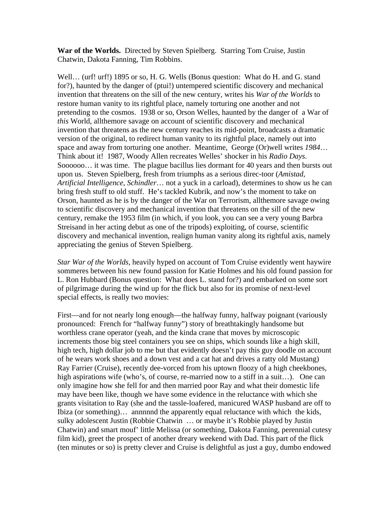**War of the Worlds.** Directed by Steven Spielberg. Starring Tom Cruise, Justin Chatwin, Dakota Fanning, Tim Robbins.

Well... (urf! urf!) 1895 or so, H. G. Wells (Bonus question: What do H. and G. stand for?), haunted by the danger of (ptui!) untempered scientific discovery and mechanical invention that threatens on the sill of the new century, writes his *War of the Worlds* to restore human vanity to its rightful place, namely torturing one another and not pretending to the cosmos. 1938 or so, Orson Welles, haunted by the danger of a War of *this* World, allthemore savage on account of scientific discovery and mechanical invention that threatens as the new century reaches its mid-point, broadcasts a dramatic version of the original, to redirect human vanity to its rightful place, namely out into space and away from torturing one another. Meantime, George (Or)well writes *1984*… Think about it! 1987, Woody Allen recreates Welles' shocker in his *Radio Days*. Soooooo… it was time. The plague bacillus lies dormant for 40 years and then bursts out upon us. Steven Spielberg, fresh from triumphs as a serious direc-toor (*Amistad, Artificial Intelligence, Schindler*… not a yuck in a carload), determines to show us he can bring fresh stuff to old stuff. He's tackled Kubrik, and now's the moment to take on Orson, haunted as he is by the danger of the War on Terrorism, allthemore savage owing to scientific discovery and mechanical invention that threatens on the sill of the new century, remake the 1953 film (in which, if you look, you can see a very young Barbra Streisand in her acting debut as one of the tripods) exploiting, of course, scientific discovery and mechanical invention, realign human vanity along its rightful axis, namely appreciating the genius of Steven Spielberg.

*Star War of the Worlds*, heavily hyped on account of Tom Cruise evidently went haywire sommeres between his new found passion for Katie Holmes and his old found passion for L. Ron Hubbard (Bonus question: What does L. stand for?) and embarked on some sort of pilgrimage during the wind up for the flick but also for its promise of next-level special effects, is really two movies:

First—and for not nearly long enough—the halfway funny, halfway poignant (variously pronounced: French for "halfway funny") story of breathtakingly handsome but worthless crane operator (yeah, and the kinda crane that moves by microscopic increments those big steel containers you see on ships, which sounds like a high skill, high tech, high dollar job to me but that evidently doesn't pay this guy doodle on account of he wears work shoes and a down vest and a cat hat and drives a ratty old Mustang) Ray Farrier (Cruise), recently dee-vorced from his uptown floozy of a high cheekbones, high aspirations wife (who's, of course, re-married now to a stiff in a suit...). One can only imagine how she fell for and then married poor Ray and what their domestic life may have been like, though we have some evidence in the reluctance with which she grants visitation to Ray (she and the tassle-loafered, manicured WASP husband are off to Ibiza (or something)… annnnnd the apparently equal reluctance with which the kids, sulky adolescent Justin (Robbie Chatwin … or maybe it's Robbie played by Justin Chatwin) and smart mouf' little Melissa (or something, Dakota Fanning, perennial cutesy film kid), greet the prospect of another dreary weekend with Dad. This part of the flick (ten minutes or so) is pretty clever and Cruise is delightful as just a guy, dumbo endowed